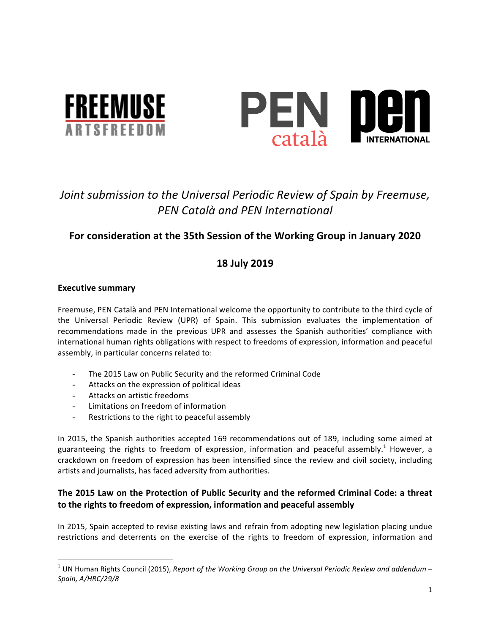



# Joint submission to the Universal Periodic Review of Spain by Freemuse, *PEN Català and PEN International*

# For consideration at the 35th Session of the Working Group in January 2020

# **18 July 2019**

# **Executive summary**

Freemuse, PEN Català and PEN International welcome the opportunity to contribute to the third cycle of the Universal Periodic Review (UPR) of Spain. This submission evaluates the implementation of recommendations made in the previous UPR and assesses the Spanish authorities' compliance with international human rights obligations with respect to freedoms of expression, information and peaceful assembly, in particular concerns related to:

- The 2015 Law on Public Security and the reformed Criminal Code
- Attacks on the expression of political ideas
- Attacks on artistic freedoms
- Limitations on freedom of information
- Restrictions to the right to peaceful assembly

In 2015, the Spanish authorities accepted 169 recommendations out of 189, including some aimed at guaranteeing the rights to freedom of expression, information and peaceful assembly.<sup>1</sup> However, a crackdown on freedom of expression has been intensified since the review and civil society, including artists and journalists, has faced adversity from authorities.

# The 2015 Law on the Protection of Public Security and the reformed Criminal Code: a threat **to the rights to freedom of expression, information and peaceful assembly**

In 2015, Spain accepted to revise existing laws and refrain from adopting new legislation placing undue restrictions and deterrents on the exercise of the rights to freedom of expression, information and

 $1$  UN Human Rights Council (2015), *Report of the Working Group on the Universal Periodic Review and addendum* – *Spain, A/HRC/29/8*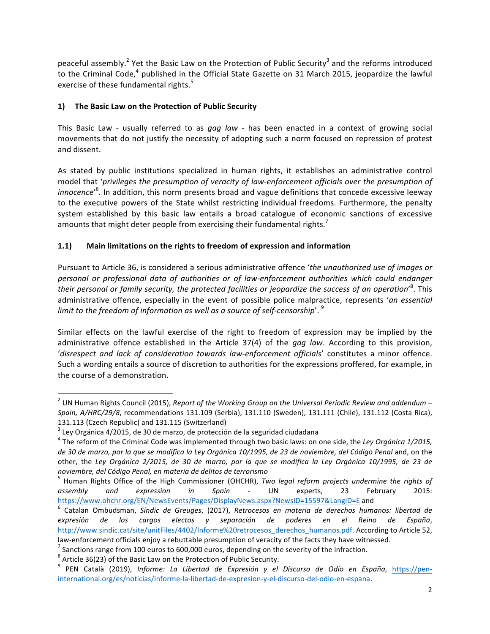peaceful assembly.<sup>2</sup> Yet the Basic Law on the Protection of Public Security<sup>3</sup> and the reforms introduced to the Criminal Code,<sup>4</sup> published in the Official State Gazette on 31 March 2015, jeopardize the lawful exercise of these fundamental rights.<sup>5</sup>

# 1) The Basic Law on the Protection of Public Security

This Basic Law - usually referred to as gag law - has been enacted in a context of growing social movements that do not justify the necessity of adopting such a norm focused on repression of protest and dissent.

As stated by public institutions specialized in human rights, it establishes an administrative control model that 'privileges the presumption of veracity of law-enforcement officials over the presumption of innocence<sup>,6</sup>. In addition, this norm presents broad and vague definitions that concede excessive leeway to the executive powers of the State whilst restricting individual freedoms. Furthermore, the penalty system established by this basic law entails a broad catalogue of economic sanctions of excessive amounts that might deter people from exercising their fundamental rights.<sup>7</sup>

# **1.1)** Main limitations on the rights to freedom of expression and information

Pursuant to Article 36, is considered a serious administrative offence 'the unauthorized use of images or *personal or professional data of authorities or of law-enforcement authorities which could endanger*  their personal or family security, the protected facilities or jeopardize the success of an operation'<sup>8</sup>. This administrative offence, especially in the event of possible police malpractice, represents 'an essential *limit* to the freedom of information as well as a source of self-censorship'.<sup>9</sup>

Similar effects on the lawful exercise of the right to freedom of expression may be implied by the administrative offence established in the Article 37(4) of the *gag law*. According to this provision, 'disrespect and lack of consideration towards law-enforcement officials' constitutes a minor offence. Such a wording entails a source of discretion to authorities for the expressions proffered, for example, in the course of a demonstration.

<sup>&</sup>lt;sup>2</sup> UN Human Rights Council (2015), *Report of the Working Group on the Universal Periodic Review and addendum* – *Spain, A/HRC/29/8*, recommendations 131.109 (Serbia), 131.110 (Sweden), 131.111 (Chile), 131.112 (Costa Rica), 131.113 (Czech Republic) and 131.115 (Switzerland)

 $3$  Ley Orgánica 4/2015, de 30 de marzo, de protección de la seguridad ciudadana

 $4$  The reform of the Criminal Code was implemented through two basic laws: on one side, the Ley Orgánica 1/2015, de 30 de marzo, por la que se modifica la Ley Orgánica 10/1995, de 23 de noviembre, del Código Penal and, on the other, the Ley Orgánica 2/2015, de 30 de marzo, por la que se modifica la Ley Orgánica 10/1995, de 23 de *noviembre, del Código Penal, en materia de delitos de terrorismo*

<sup>&</sup>lt;sup>5</sup> Human Rights Office of the High Commissioner (OHCHR), *Two legal reform projects undermine the rights of assembly and expression in Spain* - UN experts, 23 February 2015: 

https://www.ohchr.org/EN/NewsEvents/Pages/DisplayNews.aspx?NewsID=15597&LangID=E and<br><sup>6</sup> Catalan Ombudsman, *Síndic de Greuges*, (2017), *Retrocesos en materia de derechos humanos: libertad de expresión de los cargos electos y separación de poderes en el Reino de España*, http://www.sindic.cat/site/unitFiles/4402/Informe%20retrocesos\_derechos\_humanos.pdf. According to Article 52,

law-enforcement officials enjoy a rebuttable presumption of veracity of the facts they have witnessed.<br>
<sup>7</sup> Sanctions range from 100 euros to 600,000 euros, depending on the severity of the infraction.<br>
<sup>8</sup> Article 36(23) international.org/es/noticias/informe-la-libertad-de-expresion-y-el-discurso-del-odio-en-espana.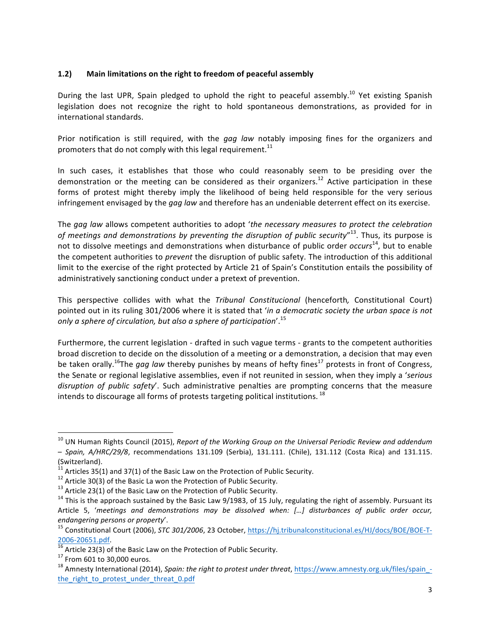#### 1.2) Main limitations on the right to freedom of peaceful assembly

During the last UPR, Spain pledged to uphold the right to peaceful assembly.<sup>10</sup> Yet existing Spanish legislation does not recognize the right to hold spontaneous demonstrations, as provided for in international standards.

Prior notification is still required, with the *gag law* notably imposing fines for the organizers and promoters that do not comply with this legal requirement.<sup>11</sup>

In such cases, it establishes that those who could reasonably seem to be presiding over the demonstration or the meeting can be considered as their organizers.<sup>12</sup> Active participation in these forms of protest might thereby imply the likelihood of being held responsible for the very serious infringement envisaged by the *gag law* and therefore has an undeniable deterrent effect on its exercise.

The gag law allows competent authorities to adopt 'the necessary measures to protect the celebration of meetings and demonstrations by preventing the disruption of public security"<sup>13</sup>. Thus, its purpose is not to dissolve meetings and demonstrations when disturbance of public order *occurs*<sup>14</sup>, but to enable the competent authorities to *prevent* the disruption of public safety. The introduction of this additional limit to the exercise of the right protected by Article 21 of Spain's Constitution entails the possibility of administratively sanctioning conduct under a pretext of prevention.

This perspective collides with what the *Tribunal Constitucional* (henceforth, Constitutional Court) pointed out in its ruling 301/2006 where it is stated that 'in a democratic society the urban space is not *only a sphere of circulation, but also a sphere of participation*'.<sup>15</sup>

Furthermore, the current legislation - drafted in such vague terms - grants to the competent authorities broad discretion to decide on the dissolution of a meeting or a demonstration, a decision that may even be taken orally.<sup>16</sup>The *gag law* thereby punishes by means of hefty fines<sup>17</sup> protests in front of Congress, the Senate or regional legislative assemblies, even if not reunited in session, when they imply a 'serious *disruption of public safety'*. Such administrative penalties are prompting concerns that the measure intends to discourage all forms of protests targeting political institutions.  $^{18}$ 

<sup>&</sup>lt;sup>10</sup> UN Human Rights Council (2015), *Report of the Working Group on the Universal Periodic Review and addendum – Spain, A/HRC/29/8*, recommendations 131.109 (Serbia), 131.111. (Chile), 131.112 (Costa Rica) and 131.115. (Switzerland).<br> $11$  Articles 35(1) and 37(1) of the Basic Law on the Protection of Public Security.

<sup>&</sup>lt;sup>12</sup> Article 30(3) of the Basic La won the Protection of Public Security.<br><sup>13</sup> Article 23(1) of the Basic Law on the Protection of Public Security.<br><sup>14</sup> This is the approach sustained by the Basic Law 9/1983, of 15 July, Article 5, 'meetings and demonstrations may be dissolved when: [...] disturbances of public order occur,

*endangering persons or property'*.<br><sup>15</sup> Constitutional Court (2006), *STC 301/2006*, 23 October, *https://hj.tribunalconstitucional.es/HJ/docs/BOE/BOE-T-*<br>2006-20651.pdf.

<sup>&</sup>lt;sup>16</sup> Article 23(3) of the Basic Law on the Protection of Public Security.<br><sup>17</sup> From 601 to 30,000 euros.<br><sup>18</sup> Amnesty International (2014), *Spain: the right to protest under threat*, https://www.amnesty.org.uk/files/spai the right to protest under threat 0.pdf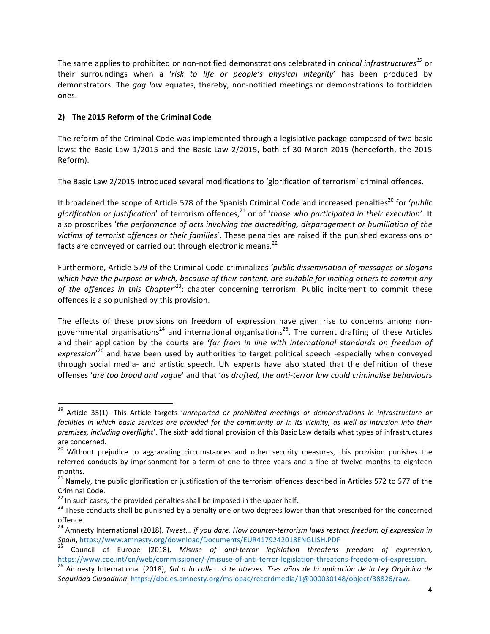The same applies to prohibited or non-notified demonstrations celebrated in *critical infrastructures*<sup>19</sup> or their surroundings when a 'risk to life or people's physical integrity' has been produced by demonstrators. The *gag law* equates, thereby, non-notified meetings or demonstrations to forbidden ones.

# **2) The 2015 Reform of the Criminal Code**

The reform of the Criminal Code was implemented through a legislative package composed of two basic laws: the Basic Law 1/2015 and the Basic Law 2/2015, both of 30 March 2015 (henceforth, the 2015 Reform).

The Basic Law 2/2015 introduced several modifications to 'glorification of terrorism' criminal offences.

It broadened the scope of Article 578 of the Spanish Criminal Code and increased penalties<sup>20</sup> for '*public* glorification or justification' of terrorism offences,<sup>21</sup> or of 'those who participated in their execution'. It also proscribes 'the performance of acts involving the discrediting, disparagement or humiliation of the victims of terrorist offences or their families<sup>'</sup>. These penalties are raised if the punished expressions or facts are conveyed or carried out through electronic means.<sup>22</sup>

Furthermore, Article 579 of the Criminal Code criminalizes 'public dissemination of messages or slogans which have the purpose or which, because of their content, are suitable for inciting others to commit any of the offences in this Chapter<sup>'23</sup>; chapter concerning terrorism. Public incitement to commit these offences is also punished by this provision.

The effects of these provisions on freedom of expression have given rise to concerns among nongovernmental organisations<sup>24</sup> and international organisations<sup>25</sup>. The current drafting of these Articles and their application by the courts are 'far from in line with international standards on freedom of expression<sup>'26</sup> and have been used by authorities to target political speech -especially when conveyed through social media- and artistic speech. UN experts have also stated that the definition of these offenses 'are too broad and vague' and that 'as drafted, the anti-terror law could criminalise behaviours

<sup>&</sup>lt;sup>19</sup> Article 35(1). This Article targets 'unreported or prohibited meetings or demonstrations in infrastructure or facilities in which basic services are provided for the community or in its vicinity, as well as intrusion into their premises, including overflight'. The sixth additional provision of this Basic Law details what types of infrastructures are concerned.

<sup>&</sup>lt;sup>20</sup> Without prejudice to aggravating circumstances and other security measures, this provision punishes the referred conducts by imprisonment for a term of one to three years and a fine of twelve months to eighteen months.

 $21$  Namely, the public glorification or justification of the terrorism offences described in Articles 572 to 577 of the Criminal Code.<br><sup>22</sup> In such cases, the provided penalties shall be imposed in the upper half.

<sup>&</sup>lt;sup>23</sup> These conducts shall be punished by a penalty one or two degrees lower than that prescribed for the concerned offence.

<sup>&</sup>lt;sup>24</sup> Amnesty International (2018), *Tweet... if you dare. How counter-terrorism laws restrict freedom of expression in*<br>Spain, https://www.amnesty.org/download/Documents/EUR4179242018ENGLISH.PDF

<sup>&</sup>lt;sup>25</sup> Council of Europe (2018), Misuse of anti-terror legislation threatens freedom of expression, https://www.coe.int/en/web/commissioner/-/misuse-of-anti-terror-legislation-threatens-freedom-of-expression.<br><sup>26</sup> Amnesty International (2018), *Sal a la calle... si te atreves. Tres años de la aplicación de la Ley Orgánic* 

*Seguridad Ciudadana*, https://doc.es.amnesty.org/ms-opac/recordmedia/1@000030148/object/38826/raw.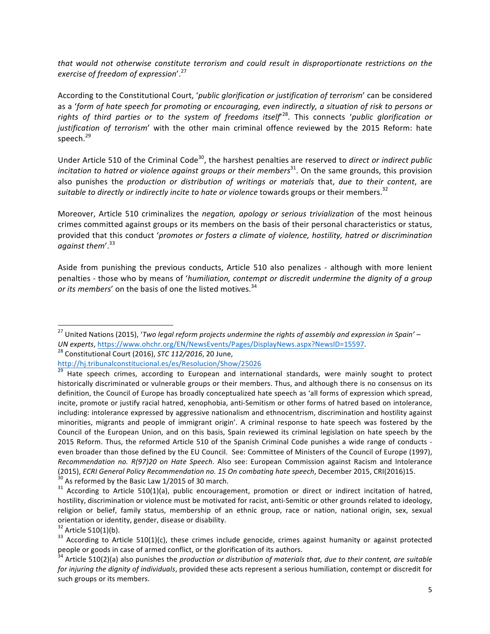that would not otherwise constitute terrorism and could result in disproportionate restrictions on the *exercise of freedom of expression*'. 27

According to the Constitutional Court, 'public glorification or justification of terrorism' can be considered as a 'form of hate speech for promoting or encouraging, even indirectly, a situation of risk to persons or rights of third parties or to the system of freedoms itself<sup>28</sup>. This connects 'public glorification or justification of terrorism' with the other main criminal offence reviewed by the 2015 Reform: hate speech. 29

Under Article 510 of the Criminal Code<sup>30</sup>, the harshest penalties are reserved to *direct or indirect public incitation to hatred or violence against groups or their members*<sup>31</sup>. On the same grounds, this provision also punishes the *production or distribution of writings or materials* that, *due to their content*, are suitable to directly or indirectly incite to hate or violence towards groups or their members.<sup>32</sup>

Moreover, Article 510 criminalizes the *negation, apology or serious trivialization* of the most heinous crimes committed against groups or its members on the basis of their personal characteristics or status, provided that this conduct 'promotes or fosters a climate of violence, hostility, hatred or discrimination *against them*'. 33

Aside from punishing the previous conducts, Article 510 also penalizes - although with more lenient penalties - those who by means of 'humiliation, contempt or discredit undermine the dignity of a group or its members' on the basis of one the listed motives.<sup>34</sup>

<sup>&</sup>lt;sup>27</sup> United Nations (2015), '*Two legal reform projects undermine the rights of assembly and expression in Spain'* – *UN* experts, https://www.ohchr.org/EN/NewsEvents/Pages/DisplayNews.aspx?NewsID=15597.<br><sup>28</sup> Constitutional Court (2016), *STC 112/2016*, 20 June,

http://hj.tribunalconstitucional.es/es/Resolucion/Show/25026<br><sup>29</sup> Hate speech crimes, according to European and international standards, were mainly sought to protect historically discriminated or vulnerable groups or their members. Thus, and although there is no consensus on its definition, the Council of Europe has broadly conceptualized hate speech as 'all forms of expression which spread, incite, promote or justify racial hatred, xenophobia, anti-Semitism or other forms of hatred based on intolerance, including: intolerance expressed by aggressive nationalism and ethnocentrism, discrimination and hostility against minorities, migrants and people of immigrant origin'. A criminal response to hate speech was fostered by the Council of the European Union, and on this basis, Spain reviewed its criminal legislation on hate speech by the 2015 Reform. Thus, the reformed Article 510 of the Spanish Criminal Code punishes a wide range of conducts even broader than those defined by the EU Council. See: Committee of Ministers of the Council of Europe (1997), *Recommendation no. R(97)20 on Hate Speech.* Also see: European Commission against Racism and Intolerance (2015), *ECRI General Policy Recommendation no.* 15 On combating hate speech, December 2015, CRI(2016)15.<br><sup>30</sup> As reformed by the Basic Law 1/2015 of 30 march.<br><sup>31</sup> According to Article 510(1)(a), public encouragement, pr

hostility, discrimination or violence must be motivated for racist, anti-Semitic or other grounds related to ideology, religion or belief, family status, membership of an ethnic group, race or nation, national origin, sex, sexual orientation or identity, gender, disease or disability.<br> $32$  Article 510(1)(b).

<sup>&</sup>lt;sup>33</sup> According to Article 510(1)(c), these crimes include genocide, crimes against humanity or against protected people or goods in case of armed conflict, or the glorification of its authors.

<sup>&</sup>lt;sup>34</sup> Article 510(2)(a) also punishes the *production or distribution of materials that, due to their content, are suitable for injuring the dignity of individuals*, provided these acts represent a serious humiliation, contempt or discredit for such groups or its members.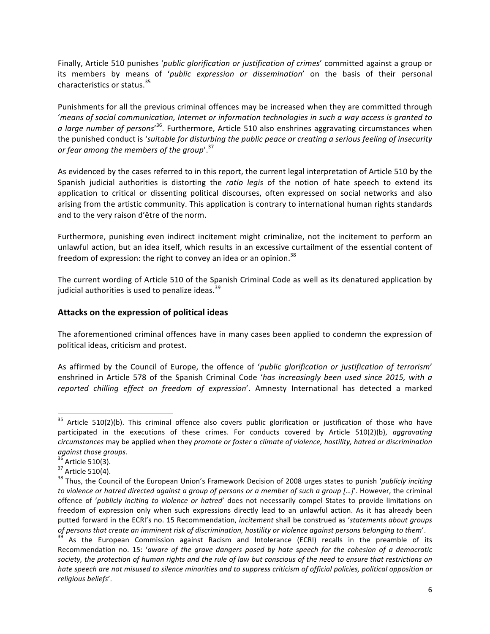Finally, Article 510 punishes '*public glorification or justification of crimes'* committed against a group or its members by means of 'public expression or dissemination' on the basis of their personal characteristics or status.<sup>35</sup>

Punishments for all the previous criminal offences may be increased when they are committed through 'means of social communication, Internet or information technologies in such a way access is granted to a large number of persons<sup>, 36</sup>. Furthermore, Article 510 also enshrines aggravating circumstances when the punished conduct is '*suitable for disturbing the public peace or creating a serious feeling of insecurity* or fear among the members of the group<sup>'.37</sup>

As evidenced by the cases referred to in this report, the current legal interpretation of Article 510 by the Spanish judicial authorities is distorting the *ratio* legis of the notion of hate speech to extend its application to critical or dissenting political discourses, often expressed on social networks and also arising from the artistic community. This application is contrary to international human rights standards and to the very raison d'être of the norm.

Furthermore, punishing even indirect incitement might criminalize, not the incitement to perform an unlawful action, but an idea itself, which results in an excessive curtailment of the essential content of freedom of expression: the right to convey an idea or an opinion.<sup>38</sup>

The current wording of Article 510 of the Spanish Criminal Code as well as its denatured application by judicial authorities is used to penalize ideas.<sup>39</sup>

### Attacks on the expression of political ideas

The aforementioned criminal offences have in many cases been applied to condemn the expression of political ideas, criticism and protest.

As affirmed by the Council of Europe, the offence of '*public alorification or justification of terrorism'* enshrined in Article 578 of the Spanish Criminal Code '*has increasingly been used since 2015, with a reported chilling effect on freedom of expression*'. Amnesty International has detected a marked 

<sup>&</sup>lt;sup>35</sup> Article 510(2)(b). This criminal offence also covers public glorification or justification of those who have participated in the executions of these crimes. For conducts covered by Article 510(2)(b), *aggravating circumstances* may be applied when they *promote or foster a climate of violence, hostility, hatred or discrimination against those groups.*<br><sup>36</sup> Article 510(3).<br><sup>37</sup> Article 510(4).<br><sup>38</sup> Thus, the Council of the European Union's Framework Decision of 2008 urges states to punish '*publicly inciting* 

*to* violence or hatred directed against a group of persons or a member of such a group [...]'. However, the criminal offence of '*publicly inciting to violence or hatred*' does not necessarily compel States to provide limitations on freedom of expression only when such expressions directly lead to an unlawful action. As it has already been putted forward in the ECRI's no. 15 Recommendation, *incitement* shall be construed as 'statements about groups of persons that create an imminent risk of discrimination, hostility or violence against persons belonging to them'.<br><sup>39</sup> As the European Commission against Racism and Intolerance (ECRI) recalls in the preamble of its

Recommendation no. 15: 'aware of the grave dangers posed by hate speech for the cohesion of a democratic society, the protection of human rights and the rule of law but conscious of the need to ensure that restrictions on hate speech are not misused to silence minorities and to suppress criticism of official policies, political opposition or *religious beliefs*'.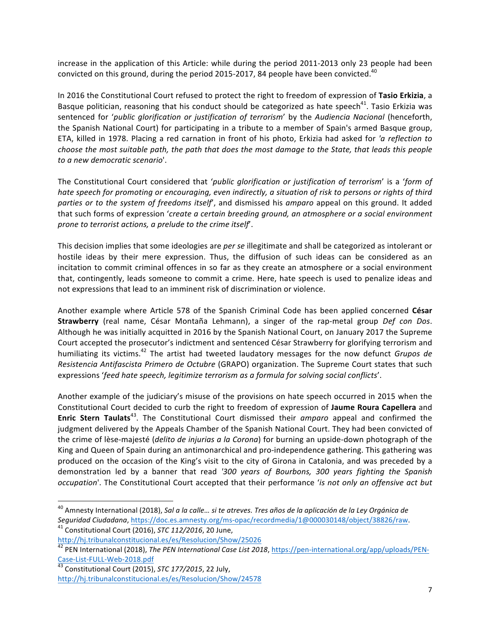increase in the application of this Article: while during the period 2011-2013 only 23 people had been convicted on this ground, during the period 2015-2017, 84 people have been convicted.<sup>40</sup>

In 2016 the Constitutional Court refused to protect the right to freedom of expression of Tasio Erkizia, a Basque politician, reasoning that his conduct should be categorized as hate speech<sup>41</sup>. Tasio Erkizia was sentenced for 'public glorification or justification of terrorism' by the Audiencia Nacional (henceforth, the Spanish National Court) for participating in a tribute to a member of Spain's armed Basque group, ETA, killed in 1978. Placing a red carnation in front of his photo, Erkizia had asked for *'a reflection to choose the most suitable path, the path that does the most damage to the State, that leads this people to a new democratic scenario*'.

The Constitutional Court considered that '*public glorification or justification of terrorism'* is a 'form of *hate speech for promoting or encouraging, even indirectly, a situation of risk to persons or rights of third parties* or to the system of freedoms itself, and dismissed his amparo appeal on this ground. It added that such forms of expression 'create a certain breeding ground, an atmosphere or a social environment *prone to terrorist actions, a prelude to the crime itself*.

This decision implies that some ideologies are *per se* illegitimate and shall be categorized as intolerant or hostile ideas by their mere expression. Thus, the diffusion of such ideas can be considered as an incitation to commit criminal offences in so far as they create an atmosphere or a social environment that, contingently, leads someone to commit a crime. Here, hate speech is used to penalize ideas and not expressions that lead to an imminent risk of discrimination or violence.

Another example where Article 578 of the Spanish Criminal Code has been applied concerned César **Strawberry** (real name, César Montaña Lehmann), a singer of the rap-metal group Def con Dos. Although he was initially acquitted in 2016 by the Spanish National Court, on January 2017 the Supreme Court accepted the prosecutor's indictment and sentenced César Strawberry for glorifying terrorism and humiliating its victims.<sup>42</sup> The artist had tweeted laudatory messages for the now defunct *Grupos de* Resistencia Antifascista Primero de Octubre (GRAPO) organization. The Supreme Court states that such expressions 'feed hate speech, legitimize terrorism as a formula for solving social conflicts'.

Another example of the judiciary's misuse of the provisions on hate speech occurred in 2015 when the Constitutional Court decided to curb the right to freedom of expression of Jaume Roura Capellera and **Enric Stern Taulats**<sup>43</sup>. The Constitutional Court dismissed their *amparo* appeal and confirmed the judgment delivered by the Appeals Chamber of the Spanish National Court. They had been convicted of the crime of lèse-majesté (*delito de injurias a la Corona*) for burning an upside-down photograph of the King and Queen of Spain during an antimonarchical and pro-independence gathering. This gathering was produced on the occasion of the King's visit to the city of Girona in Catalonia, and was preceded by a demonstration led by a banner that read '300 years of Bourbons, 300 years fighting the Spanish *occupation*'. The Constitutional Court accepted that their performance '*is not only an offensive act but* 

<sup>&</sup>lt;sup>40</sup> Amnesty International (2018), *Sal a la calle... si te atreves. Tres años de la aplicación de la Ley Orgánica de Seguridad Ciudadana*, https://doc.es.amnesty.org/ms-opac/recordmedia/1@000030148/object/38826/raw.<br><sup>41</sup> Constitutional Court (2016), *STC 112/2016*, 20 June,

http://hj.tribunalconstitucional.es/es/Resolucion/Show/25026

<sup>&</sup>lt;sup>42</sup> PEN International (2018), The PEN International Case List 2018, https://pen-international.org/app/uploads/PEN-Case-List-FULL-Web-2018.pdf<br><sup>43</sup> Constitutional Court (2015), *STC 177/2015*, 22 July,

http://hj.tribunalconstitucional.es/es/Resolucion/Show/24578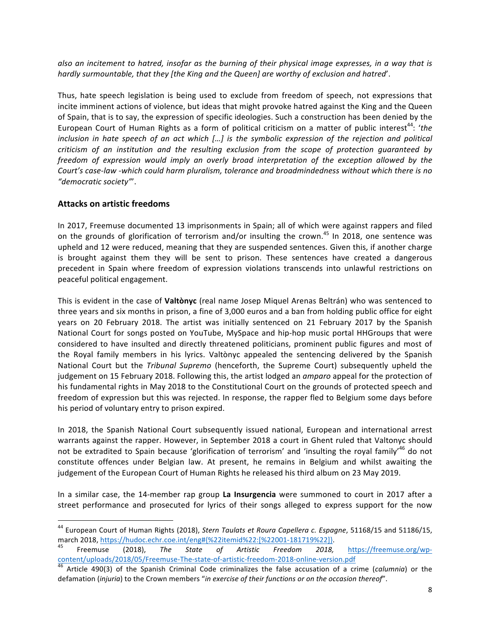also an incitement to hatred, insofar as the burning of their physical image expresses, in a way that is *hardly surmountable, that they [the King and the Queen] are worthy of exclusion and hatred'.* 

Thus, hate speech legislation is being used to exclude from freedom of speech, not expressions that incite imminent actions of violence, but ideas that might provoke hatred against the King and the Queen of Spain, that is to say, the expression of specific ideologies. Such a construction has been denied by the European Court of Human Rights as a form of political criticism on a matter of public interest<sup>44</sup>: 'the *inclusion* in hate speech of an act which [...] is the symbolic expression of the rejection and political *criticism* of an institution and the resulting exclusion from the scope of protection quaranteed by *freedom* of expression would *imply an overly broad interpretation* of the exception allowed by the Court's case-law *-which could harm pluralism, tolerance and broadmindedness without which there is no "democratic society"*'.

# **Attacks on artistic freedoms**

In 2017, Freemuse documented 13 imprisonments in Spain; all of which were against rappers and filed on the grounds of glorification of terrorism and/or insulting the crown.<sup>45</sup> In 2018, one sentence was upheld and 12 were reduced, meaning that they are suspended sentences. Given this, if another charge is brought against them they will be sent to prison. These sentences have created a dangerous precedent in Spain where freedom of expression violations transcends into unlawful restrictions on peaceful political engagement.

This is evident in the case of **Valtònyc** (real name Josep Miquel Arenas Beltrán) who was sentenced to three years and six months in prison, a fine of 3,000 euros and a ban from holding public office for eight years on 20 February 2018. The artist was initially sentenced on 21 February 2017 by the Spanish National Court for songs posted on YouTube, MySpace and hip-hop music portal HHGroups that were considered to have insulted and directly threatened politicians, prominent public figures and most of the Royal family members in his lyrics. Valtònyc appealed the sentencing delivered by the Spanish National Court but the *Tribunal Supremo* (henceforth, the Supreme Court) subsequently upheld the judgement on 15 February 2018. Following this, the artist lodged an *amparo* appeal for the protection of his fundamental rights in May 2018 to the Constitutional Court on the grounds of protected speech and freedom of expression but this was rejected. In response, the rapper fled to Belgium some days before his period of voluntary entry to prison expired.

In 2018, the Spanish National Court subsequently issued national, European and international arrest warrants against the rapper. However, in September 2018 a court in Ghent ruled that Valtonyc should not be extradited to Spain because 'glorification of terrorism' and 'insulting the royal family'<sup>46</sup> do not constitute offences under Belgian law. At present, he remains in Belgium and whilst awaiting the judgement of the European Court of Human Rights he released his third album on 23 May 2019.

In a similar case, the 14-member rap group La Insurgencia were summoned to court in 2017 after a street performance and prosecuted for lyrics of their songs alleged to express support for the now

<sup>&</sup>lt;sup>44</sup> European Court of Human Rights (2018), *Stern Taulats et Roura Capellera c. Espagne*, 51168/15 and 51186/15, march 2018, https://hudoc.echr.coe.int/eng#{%22itemid%22:[%22001-181719%22]}.<br><sup>45</sup> Freemuse (2018), *The State of Artistic Freedom 2018,* https://freemuse.org/wp-

content/uploads/2018/05/Freemuse-The-state-of-artistic-freedom-2018-online-version.pdf<br><sup>46</sup> Article 490(3) of the Spanish Criminal Code criminalizes the false accusation of a crime (*calumnia*) or the

defamation (*injuria*) to the Crown members "in exercise of their functions or on the occasion thereof".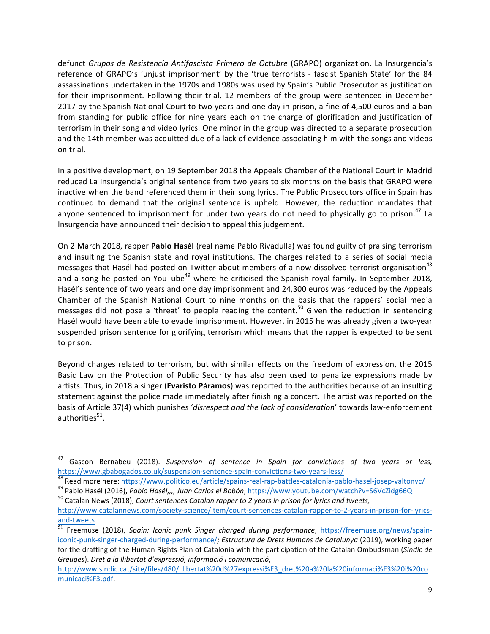defunct *Grupos de Resistencia Antifascista Primero de Octubre* (GRAPO) organization. La Insurgencia's reference of GRAPO's 'unjust imprisonment' by the 'true terrorists - fascist Spanish State' for the 84 assassinations undertaken in the 1970s and 1980s was used by Spain's Public Prosecutor as justification for their imprisonment. Following their trial, 12 members of the group were sentenced in December 2017 by the Spanish National Court to two years and one day in prison, a fine of 4,500 euros and a ban from standing for public office for nine years each on the charge of glorification and justification of terrorism in their song and video lyrics. One minor in the group was directed to a separate prosecution and the 14th member was acquitted due of a lack of evidence associating him with the songs and videos on trial.

In a positive development, on 19 September 2018 the Appeals Chamber of the National Court in Madrid reduced La Insurgencia's original sentence from two years to six months on the basis that GRAPO were inactive when the band referenced them in their song lyrics. The Public Prosecutors office in Spain has continued to demand that the original sentence is upheld. However, the reduction mandates that anyone sentenced to imprisonment for under two years do not need to physically go to prison.<sup>47</sup> La Insurgencia have announced their decision to appeal this judgement.

On 2 March 2018, rapper Pablo Hasél (real name Pablo Rivadulla) was found guilty of praising terrorism and insulting the Spanish state and royal institutions. The charges related to a series of social media messages that Hasél had posted on Twitter about members of a now dissolved terrorist organisation<sup>48</sup> and a song he posted on YouTube<sup>49</sup> where he criticised the Spanish royal family. In September 2018, Hasél's sentence of two years and one day imprisonment and 24,300 euros was reduced by the Appeals Chamber of the Spanish National Court to nine months on the basis that the rappers' social media messages did not pose a 'threat' to people reading the content.<sup>50</sup> Given the reduction in sentencing Hasél would have been able to evade imprisonment. However, in 2015 he was already given a two-year suspended prison sentence for glorifying terrorism which means that the rapper is expected to be sent to prison.

Beyond charges related to terrorism, but with similar effects on the freedom of expression, the 2015 Basic Law on the Protection of Public Security has also been used to penalize expressions made by artists. Thus, in 2018 a singer (Evaristo Páramos) was reported to the authorities because of an insulting statement against the police made immediately after finishing a concert. The artist was reported on the basis of Article 37(4) which punishes 'disrespect and the lack of consideration' towards law-enforcement authorities $51$ .

<sup>47</sup> Gascon Bernabeu (2018). *Suspension of sentence in Spain for convictions of two years or less,*<br>https://www.gbabogados.co.uk/suspension-sentence-spain-convictions-two-years-less/<br><sup>48</sup> Boad mare have litteral in the seco

<sup>&</sup>lt;sup>48</sup> Read more here: https://www.politico.eu/article/spains-real-rap-battles-catalonia-pablo-hasel-josep-valtonyc/<br><sup>49</sup> Pablo Hasél (2016), *Pablo Hasél,,,, Juan Carlos el Bobón*, https://www.youtube.com/watch?v=S6VcZidg66

http://www.catalannews.com/society-science/item/court-sentences-catalan-rapper-to-2-years-in-prison-for-lyricsand-tweets

<sup>&</sup>lt;sup>51</sup> Freemuse (2018), *Spain: Iconic punk Singer charged during performance*, https://freemuse.org/news/spainiconic-punk-singer-charged-during-performance/; Estructura de Drets Humans de Catalunya (2019), working paper for the drafting of the Human Rights Plan of Catalonia with the participation of the Catalan Ombudsman (Síndic de *Greuges*). *Dret a la llibertat d'expressió, informació i comunicació*,

http://www.sindic.cat/site/files/480/Llibertat%20d%27expressi%F3\_dret%20a%20la%20informaci%F3%20i%20co municaci%F3.pdf.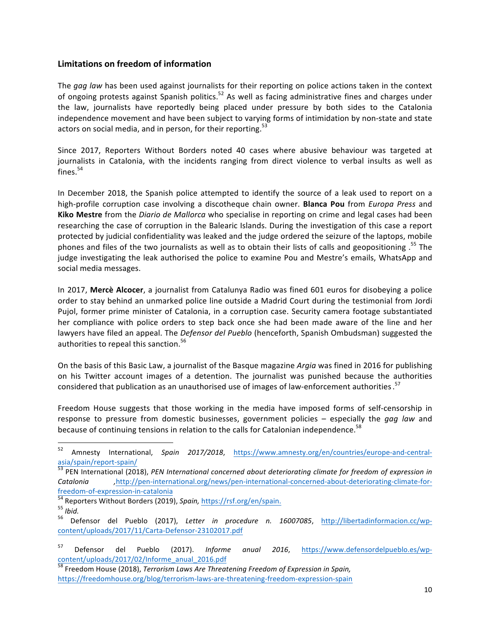# **Limitations on freedom of information**

The *gag law* has been used against journalists for their reporting on police actions taken in the context of ongoing protests against Spanish politics.<sup>52</sup> As well as facing administrative fines and charges under the law, journalists have reportedly being placed under pressure by both sides to the Catalonia independence movement and have been subject to varying forms of intimidation by non-state and state actors on social media, and in person, for their reporting.<sup>53</sup>

Since 2017, Reporters Without Borders noted 40 cases where abusive behaviour was targeted at journalists in Catalonia, with the incidents ranging from direct violence to verbal insults as well as fines. 54

In December 2018, the Spanish police attempted to identify the source of a leak used to report on a high-profile corruption case involving a discotheque chain owner. **Blanca Pou** from *Europa Press* and **Kiko Mestre** from the *Diario de Mallorca* who specialise in reporting on crime and legal cases had been researching the case of corruption in the Balearic Islands. During the investigation of this case a report protected by judicial confidentiality was leaked and the judge ordered the seizure of the laptops, mobile phones and files of the two journalists as well as to obtain their lists of calls and geopositioning .<sup>55</sup> The judge investigating the leak authorised the police to examine Pou and Mestre's emails, WhatsApp and social media messages.

In 2017, Mercè Alcocer, a journalist from Catalunya Radio was fined 601 euros for disobeying a police order to stay behind an unmarked police line outside a Madrid Court during the testimonial from Jordi Pujol, former prime minister of Catalonia, in a corruption case. Security camera footage substantiated her compliance with police orders to step back once she had been made aware of the line and her lawyers have filed an appeal. The *Defensor del Pueblo* (henceforth, Spanish Ombudsman) suggested the authorities to repeal this sanction.<sup>56</sup>

On the basis of this Basic Law, a journalist of the Basque magazine *Argia* was fined in 2016 for publishing on his Twitter account images of a detention. The journalist was punished because the authorities considered that publication as an unauthorised use of images of law-enforcement authorities.<sup>57</sup>

Freedom House suggests that those working in the media have imposed forms of self-censorship in response to pressure from domestic businesses, government policies – especially the *gag law* and because of continuing tensions in relation to the calls for Catalonian independence.<sup>58</sup>

<sup>52</sup> Amnesty International, Spain 2017/2018, https://www.amnesty.org/en/countries/europe-and-centralasia/spain/report-spain/<br><sup>53</sup> PEN International (2018), *PEN International concerned about deteriorating climate for freedom of expression in* 

*Catalonia ,*http://pen-international.org/news/pen-international-concerned-about-deteriorating-climate-for-Freedom-of-expression-in-catalonia<br>
54 Reporters Without Borders (2019), Spain, https://rsf.org/en/spain.<br>
55 Ibid.<br>
56 Defensor del Pueblo (2017), Letter in procedure n. 16007085, http://libertadinformacion.cc/wp-

content/uploads/2017/11/Carta-Defensor-23102017.pdf

<sup>&</sup>lt;sup>57</sup> Defensor del Pueblo (2017). *Informe anual 2016*, https://www.defensordelpueblo.es/wpcontent/uploads/2017/02/Informe\_anual\_2016.pdf

<sup>58</sup> Freedom House (2018), *Terrorism Laws Are Threatening Freedom of Expression in Spain,* https://freedomhouse.org/blog/terrorism-laws-are-threatening-freedom-expression-spain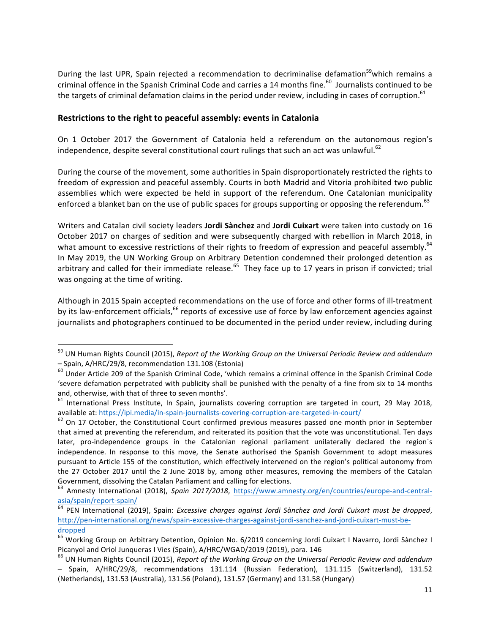During the last UPR, Spain rejected a recommendation to decriminalise defamation<sup>59</sup>which remains a criminal offence in the Spanish Criminal Code and carries a 14 months fine.<sup>60</sup> Journalists continued to be the targets of criminal defamation claims in the period under review, including in cases of corruption.<sup>61</sup>

#### **Restrictions to the right to peaceful assembly: events in Catalonia**

On 1 October 2017 the Government of Catalonia held a referendum on the autonomous region's independence, despite several constitutional court rulings that such an act was unlawful.<sup>62</sup>

During the course of the movement, some authorities in Spain disproportionately restricted the rights to freedom of expression and peaceful assembly. Courts in both Madrid and Vitoria prohibited two public assemblies which were expected be held in support of the referendum. One Catalonian municipality enforced a blanket ban on the use of public spaces for groups supporting or opposing the referendum.<sup>63</sup>

Writers and Catalan civil society leaders **Jordi Sànchez** and **Jordi Cuixart** were taken into custody on 16 October 2017 on charges of sedition and were subsequently charged with rebellion in March 2018, in what amount to excessive restrictions of their rights to freedom of expression and peaceful assembly.<sup>64</sup> In May 2019, the UN Working Group on Arbitrary Detention condemned their prolonged detention as arbitrary and called for their immediate release.<sup>65</sup> They face up to 17 years in prison if convicted; trial was ongoing at the time of writing.

Although in 2015 Spain accepted recommendations on the use of force and other forms of ill-treatment by its law-enforcement officials,<sup>66</sup> reports of excessive use of force by law enforcement agencies against journalists and photographers continued to be documented in the period under review, including during

<sup>&</sup>lt;sup>59</sup> UN Human Rights Council (2015), *Report of the Working Group on the Universal Periodic Review and addendum* – Spain, A/HRC/29/8, recommendation 131.108 (Estonia)<br><sup>60</sup> Under Article 209 of the Spanish Criminal Code, 'which remains a criminal offence in the Spanish Criminal Code

<sup>&#</sup>x27;severe defamation perpetrated with publicity shall be punished with the penalty of a fine from six to 14 months and, otherwise, with that of three to seven months'.<br>
<sup>61</sup> International Press Institute, In Spain, journalists covering corruption are targeted in court, 29 May 2018,

available at: https://ipi.media/in-spain-journalists-covering-corruption-are-targeted-in-court/<br><sup>62</sup> On 17 October, the Constitutional Court confirmed previous measures passed one month prior in September

that aimed at preventing the referendum, and reiterated its position that the vote was unconstitutional. Ten days later, pro-independence groups in the Catalonian regional parliament unilaterally declared the region's independence. In response to this move, the Senate authorised the Spanish Government to adopt measures pursuant to Article 155 of the constitution, which effectively intervened on the region's political autonomy from the 27 October 2017 until the 2 June 2018 by, among other measures, removing the members of the Catalan

Government, dissolving the Catalan Parliament and calling for elections.<br><sup>63</sup> Amnesty International (2018), *Spain 2017/2018*, https://www.amnesty.org/en/countries/europe-and-central-

asia/spain/report-spain/<br><sup>64</sup> PEN International (2019), Spain: *Excessive charges against Jordi Sànchez and Jordi Cuixart must be dropped,* http://pen-international.org/news/spain-excessive-charges-against-jordi-sanchez-and-jordi-cuixart-must-bedropped

<sup>&</sup>lt;sup>65</sup> Working Group on Arbitrary Detention, Opinion No. 6/2019 concerning Jordi Cuixart I Navarro, Jordi Sànchez I<br>Picanyol and Oriol Junqueras I Vies (Spain), A/HRC/WGAD/2019 (2019), para. 146

<sup>&</sup>lt;sup>66</sup> UN Human Rights Council (2015), *Report of the Working Group on the Universal Periodic Review and addendum* – Spain, A/HRC/29/8, recommendations 131.114 (Russian Federation), 131.115 (Switzerland), 131.52 (Netherlands), 131.53 (Australia), 131.56 (Poland), 131.57 (Germany) and 131.58 (Hungary)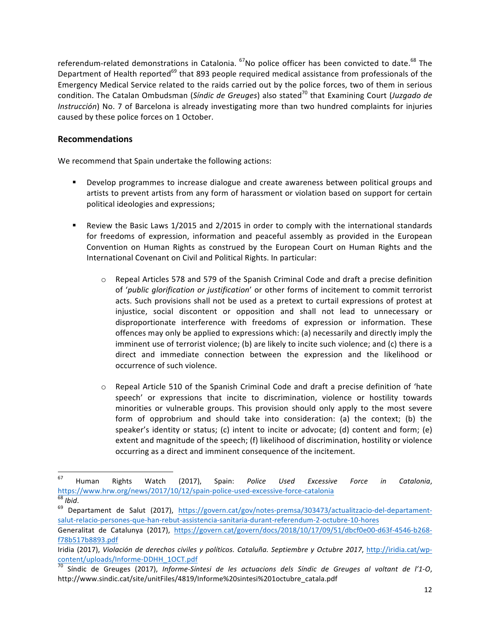referendum-related demonstrations in Catalonia. <sup>67</sup>No police officer has been convicted to date.<sup>68</sup> The Department of Health reported<sup>69</sup> that 893 people required medical assistance from professionals of the Emergency Medical Service related to the raids carried out by the police forces, two of them in serious condition. The Catalan Ombudsman (Síndic de Greuges) also stated<sup>70</sup> that Examining Court (Juzgado de *Instrucción*) No. 7 of Barcelona is already investigating more than two hundred complaints for injuries caused by these police forces on 1 October.

# **Recommendations**

We recommend that Spain undertake the following actions:

- Develop programmes to increase dialogue and create awareness between political groups and artists to prevent artists from any form of harassment or violation based on support for certain political ideologies and expressions;
- Review the Basic Laws 1/2015 and 2/2015 in order to comply with the international standards for freedoms of expression, information and peaceful assembly as provided in the European Convention on Human Rights as construed by the European Court on Human Rights and the International Covenant on Civil and Political Rights. In particular:
	- o Repeal Articles 578 and 579 of the Spanish Criminal Code and draft a precise definition of 'public glorification or justification' or other forms of incitement to commit terrorist acts. Such provisions shall not be used as a pretext to curtail expressions of protest at injustice, social discontent or opposition and shall not lead to unnecessary or disproportionate interference with freedoms of expression or information. These offences may only be applied to expressions which: (a) necessarily and directly imply the imminent use of terrorist violence; (b) are likely to incite such violence; and (c) there is a direct and immediate connection between the expression and the likelihood or occurrence of such violence.
	- $\circ$  Repeal Article 510 of the Spanish Criminal Code and draft a precise definition of 'hate speech' or expressions that incite to discrimination, violence or hostility towards minorities or vulnerable groups. This provision should only apply to the most severe form of opprobrium and should take into consideration: (a) the context; (b) the speaker's identity or status; (c) intent to incite or advocate; (d) content and form; (e) extent and magnitude of the speech; (f) likelihood of discrimination, hostility or violence occurring as a direct and imminent consequence of the incitement.

<sup>67</sup> Human Rights Watch (2017), Spain: *Police Used Excessive Force in Catalonia*, https://www.hrw.org/news/2017/10/12/spain-police-used-excessive-force-catalonia<br><sup>68</sup> *Ibid*.<br><sup>69</sup> Departament de Salut (2017), https://govern.cat/gov/notes-premsa/303473/actualitzacio-del-departament-

salut-relacio-persones-que-han-rebut-assistencia-sanitaria-durant-referendum-2-octubre-10-hores

Generalitat de Catalunya (2017), https://govern.cat/govern/docs/2018/10/17/09/51/dbcf0e00-d63f-4546-b268f78b517b8893.pdf

Iridia (2017), Violación de derechos civiles y políticos. Cataluña. Septiembre y Octubre 2017, http://iridia.cat/wp-

content/uploads/Informe-DDHH\_1OCT.pdf<br><sup>70</sup> Síndic de Greuges (2017), *Informe-Síntesi de les actuacions dels Síndic de Greuges al voltant de l'1-O*, http://www.sindic.cat/site/unitFiles/4819/Informe%20sintesi%201octubre\_catala.pdf